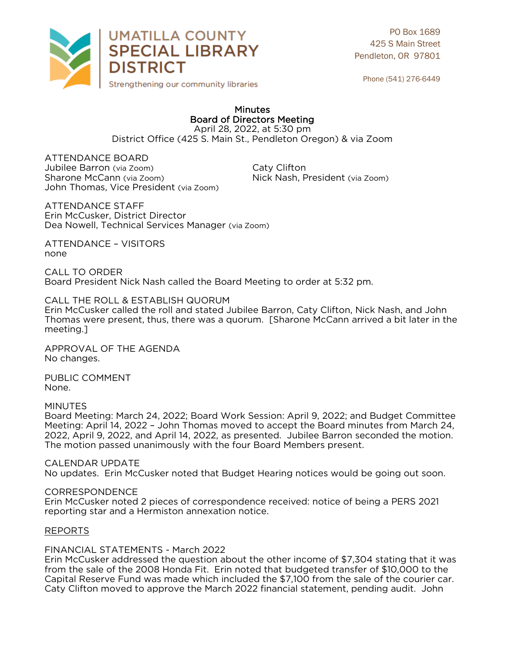

PO Box 1689 425 S Main Street Pendleton, OR 97801

Phone (541) 276-6449

### **Minutes Board of Directors Meeting** April 28, 2022, at 5:30 pm District Office (425 S. Main St., Pendleton Oregon) & via Zoom District Office (425 S. Main St., Pendleton Oregon) & via Zoom

ATTENDANCE BOARD<br>Jubilee Barron (via Zoom) Jubilee Barron (via Zoom) Caty Clifton John Thomas, Vice President (via Zoom) John Thomas, Vice President (via Zoom)

**ATTENDANCE STAFF** Erin McCusker, District Director Erin McCusiner, Encesion District Director<br>Dea Nowell, Technical Services Dea Nowell, Technical Services Manager (via Zoom)

**ATTENDANCE - VISITORS** none none

**CALL TO ORDER** Board President Nick Nash called the Board Meeting to order at 5:32 pm. Board President Nick Nash called the Board Meeting to order at 5:32 pm.

CALL THE ROLL & ESTABLISH QUORUM<br>Erin McCusker called the roll and stated Jubilee Barron, Caty Clifton, Nick Nash, and John Thomas were present, thus, there was a quorum. [Sharone McCann arrived a bit later in the meeting. There was a throwing was a present, there was a bit later in the matrix  $\alpha$ meeting.]

APPROVAL OF THE AGENDA No changes. No changes.

PUBLIC COMMENT None. None.

**MINUTFS** 

Board Meeting: March 24, 2022; Board Work Session: April 9, 2022; and Budget Committee Meeting: April 14, 2022 - John Thomas moved to accept the Board minutes from March 24, 2022, April 9, 2022, and April 14, 2022, as presented. Jubilee Barron seconded the motion. The motion passed unanimously with the four Board Members present. The motion passed unanimously with the four Board Members present.

CALENDAR UPDATE<br>No updates. Erin McCusker noted that Budget Hearing notices would be going out soon. No updates. Erin McCusker noted that Budget Hearing notices would be going out soon.

CORRESPONDENCE<br>Erin McCusker noted 2 pieces of correspondence received: notice of being a PERS 2021 reporting star and a Hermiston annexation notice. reporting star and a Hermiston annexation notice.

# REPORTS

FINANCIAL STATEMENTS - March 2022<br>Erin McCusker addressed the question about the other income of \$7,304 stating that it was from the sale of the 2008 Honda Fit. Erin noted that budgeted transfer of \$10,000 to the Capital Reserve Fund was made which included the \$7,100 from the sale of the courier car.  $\frac{1}{2}$ Capital Reserve Fund was made which included the March 2022 financial statement, pending audit. John Caty Clifton moved to approve the March 2022 financial statement, pending audit. John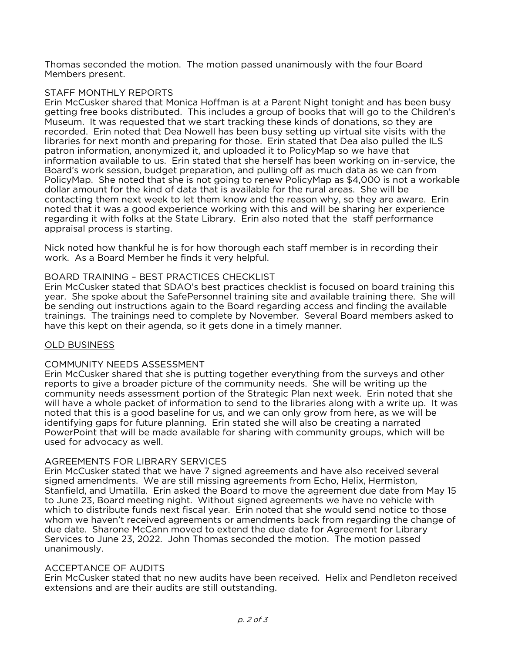Thomas seconded the motion. The motion passed unanimously with the four Board Members present.

# STAFF MONTHI Y REPORTS

Erin McCusker shared that Monica Hoffman is at a Parent Night tonight and has been busy getting free books distributed. This includes a group of books that will go to the Children's Museum. It was requested that we start tracking these kinds of donations, so they are recorded. Erin noted that Dea Nowell has been busy setting up virtual site visits with the libraries for next month and preparing for those. Erin stated that Dea also pulled the ILS patron information, anonymized it, and uploaded it to PolicyMap so we have that information available to us. Erin stated that she herself has been working on in-service, the Board's work session, budget preparation, and pulling off as much data as we can from Policy Map. She noted that she is not going to renew Policy Map as  $$4,000$  is not a workable dollar amount for the kind of data that is available for the rural areas. She will be contacting them next week to let them know and the reason why, so they are aware. Erin noted that it was a good experience working with this and will be sharing her experience regarding it with folks at the State Library. Erin also noted that the staff performance appraisal process is starting. appraisal process is starting.

work As a Board Member he finds it very helpful here is in recording to the state member of work. As a Board Member he finds it very helpful.

# **BOARD TRAINING - BEST PRACTICES CHECKLIST**

Erin McCusker stated that SDAO's best practices checklist is focused on board training this year. She spoke about the SafePersonnel training site and available training there. She will be sending out instructions again to the Board regarding access and finding the available trainings. The trainings need to complete by November. Several Board members asked to have this kept on their agenda, so it gets done in a timely manner. have this kept on their agenda, so it gets done in a timely manner.

# OLD BUSINESS

# COMMUNITY NEEDS ASSESSMENT

Erin McCusker shared that she is putting together everything from the surveys and other reports to give a broader picture of the community needs. She will be writing up the community needs assessment portion of the Strategic Plan next week. Erin noted that she will have a whole packet of information to send to the libraries along with a write up. It was noted that this is a good baseline for us, and we can only grow from here, as we will be identifying gaps for future planning. Erin stated she will also be creating a narrated PowerPoint that will be made available for sharing with community groups, which will be used for advocacy as well. used for advocacy as well.

# AGREEMENTS FOR LIBRARY SERVICES

Erin McCusker stated that we have 7 signed agreements and have also received several signed amendments. We are still missing agreements from Echo, Helix, Hermiston, Stanfield, and Umatilla. Erin asked the Board to move the agreement due date from May 15 to June 23. Board meeting night. Without signed agreements we have no vehicle with which to distribute funds next fiscal year. Erin noted that she would send notice to those whom we haven't received agreements or amendments back from regarding the change of due date. Sharone McCann moved to extend the due date for Agreement for Library due date. Sharpone McCann moved to extend the date for Agreement for Library Services to June 23, 2022. John Thomas seconded the motion. The motion passed unanimously.

ACCEPTANCE OF AUDITS<br>Erin McCusker stated that no new audits have been received. Helix and Pendleton received extensions and are their audits are still outstanding. extensions and are their audits are still outstanding.